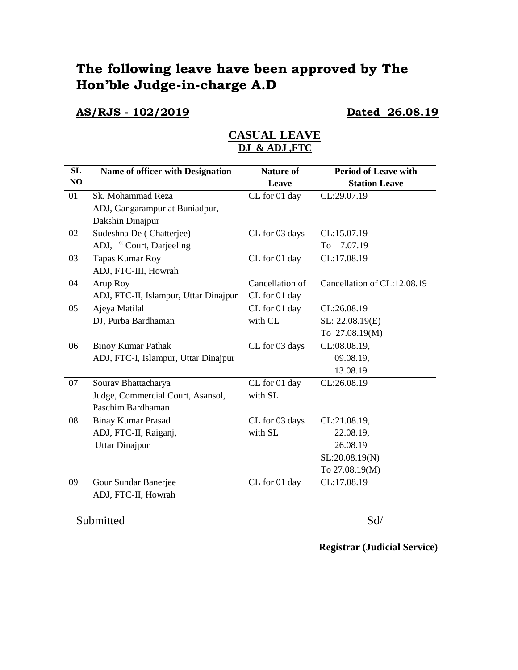# **The following leave have been approved by The Hon'ble Judge-in-charge A.D**

**AS/RJS - 102/2019 Dated 26.08.19**

## **CASUAL LEAVE DJ & ADJ ,FTC**

| SL | <b>Name of officer with Designation</b> | <b>Nature of</b> | <b>Period of Leave with</b> |
|----|-----------------------------------------|------------------|-----------------------------|
| NO |                                         | Leave            | <b>Station Leave</b>        |
| 01 | Sk. Mohammad Reza                       | CL for 01 day    | CL:29.07.19                 |
|    | ADJ, Gangarampur at Buniadpur,          |                  |                             |
|    | Dakshin Dinajpur                        |                  |                             |
| 02 | Sudeshna De (Chatterjee)                | CL for 03 days   | CL:15.07.19                 |
|    | ADJ, 1 <sup>st</sup> Court, Darjeeling  |                  | To 17.07.19                 |
| 03 | Tapas Kumar Roy                         | CL for 01 day    | CL:17.08.19                 |
|    | ADJ, FTC-III, Howrah                    |                  |                             |
| 04 | Arup Roy                                | Cancellation of  | Cancellation of CL:12.08.19 |
|    | ADJ, FTC-II, Islampur, Uttar Dinajpur   | CL for 01 day    |                             |
| 05 | Ajeya Matilal                           | CL for 01 day    | CL:26.08.19                 |
|    | DJ, Purba Bardhaman                     | with CL          | SL: 22.08.19(E)             |
|    |                                         |                  | To 27.08.19(M)              |
| 06 | <b>Binoy Kumar Pathak</b>               | CL for 03 days   | CL:08.08.19,                |
|    | ADJ, FTC-I, Islampur, Uttar Dinajpur    |                  | 09.08.19,                   |
|    |                                         |                  | 13.08.19                    |
| 07 | Sourav Bhattacharya                     | CL for 01 day    | CL:26.08.19                 |
|    | Judge, Commercial Court, Asansol,       | with SL          |                             |
|    | Paschim Bardhaman                       |                  |                             |
| 08 | <b>Binay Kumar Prasad</b>               | CL for 03 days   | CL:21.08.19,                |
|    | ADJ, FTC-II, Raiganj,                   | with SL          | 22.08.19,                   |
|    | <b>Uttar Dinajpur</b>                   |                  | 26.08.19                    |
|    |                                         |                  | SL:20.08.19(N)              |
|    |                                         |                  | To 27.08.19(M)              |
| 09 | Gour Sundar Banerjee                    | CL for 01 day    | CL:17.08.19                 |
|    | ADJ, FTC-II, Howrah                     |                  |                             |

Submitted Sd/

**Registrar (Judicial Service)**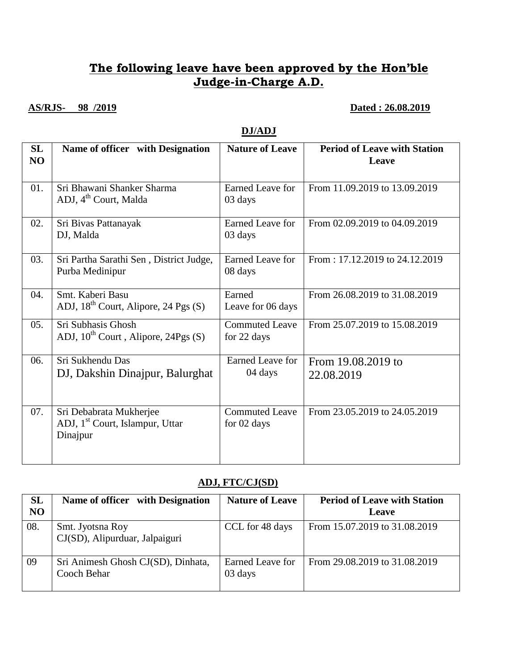## **The following leave have been approved by the Hon'ble Judge-in-Charge A.D.**

### **AS/RJS- 98 /2019 Dated : 26.08.2019**

### **DJ/ADJ**

| SL<br>NO | Name of officer with Designation                                                   | <b>Nature of Leave</b>               | <b>Period of Leave with Station</b><br>Leave |
|----------|------------------------------------------------------------------------------------|--------------------------------------|----------------------------------------------|
| 01.      | Sri Bhawani Shanker Sharma<br>ADJ, 4 <sup>th</sup> Court, Malda                    | <b>Earned Leave for</b><br>03 days   | From 11.09.2019 to 13.09.2019                |
| 02.      | Sri Bivas Pattanayak<br>DJ, Malda                                                  | <b>Earned Leave for</b><br>03 days   | From 02.09.2019 to 04.09.2019                |
| 03.      | Sri Partha Sarathi Sen, District Judge,<br>Purba Medinipur                         | Earned Leave for<br>08 days          | From: 17.12.2019 to 24.12.2019               |
| 04.      | Smt. Kaberi Basu<br>ADJ, $18^{th}$ Court, Alipore, 24 Pgs (S)                      | Earned<br>Leave for 06 days          | From 26.08.2019 to 31.08.2019                |
| 05.      | Sri Subhasis Ghosh<br>ADJ, $10^{th}$ Court, Alipore, 24Pgs (S)                     | <b>Commuted Leave</b><br>for 22 days | From 25.07.2019 to 15.08.2019                |
| 06.      | Sri Sukhendu Das<br>DJ, Dakshin Dinajpur, Balurghat                                | Earned Leave for<br>04 days          | From 19.08.2019 to<br>22.08.2019             |
| 07.      | Sri Debabrata Mukherjee<br>ADJ, 1 <sup>st</sup> Court, Islampur, Uttar<br>Dinajpur | <b>Commuted Leave</b><br>for 02 days | From 23.05.2019 to 24.05.2019                |

#### **ADJ, FTC/CJ(SD)**

| <b>SL</b><br>N <sub>O</sub> | Name of officer with Designation                   | <b>Nature of Leave</b>      | <b>Period of Leave with Station</b><br>Leave |
|-----------------------------|----------------------------------------------------|-----------------------------|----------------------------------------------|
| 08.                         | Smt. Jyotsna Roy<br>CJ(SD), Alipurduar, Jalpaiguri | CCL for 48 days             | From 15.07.2019 to 31.08.2019                |
| 09                          | Sri Animesh Ghosh CJ(SD), Dinhata,<br>Cooch Behar  | Earned Leave for<br>03 days | From 29.08.2019 to 31.08.2019                |